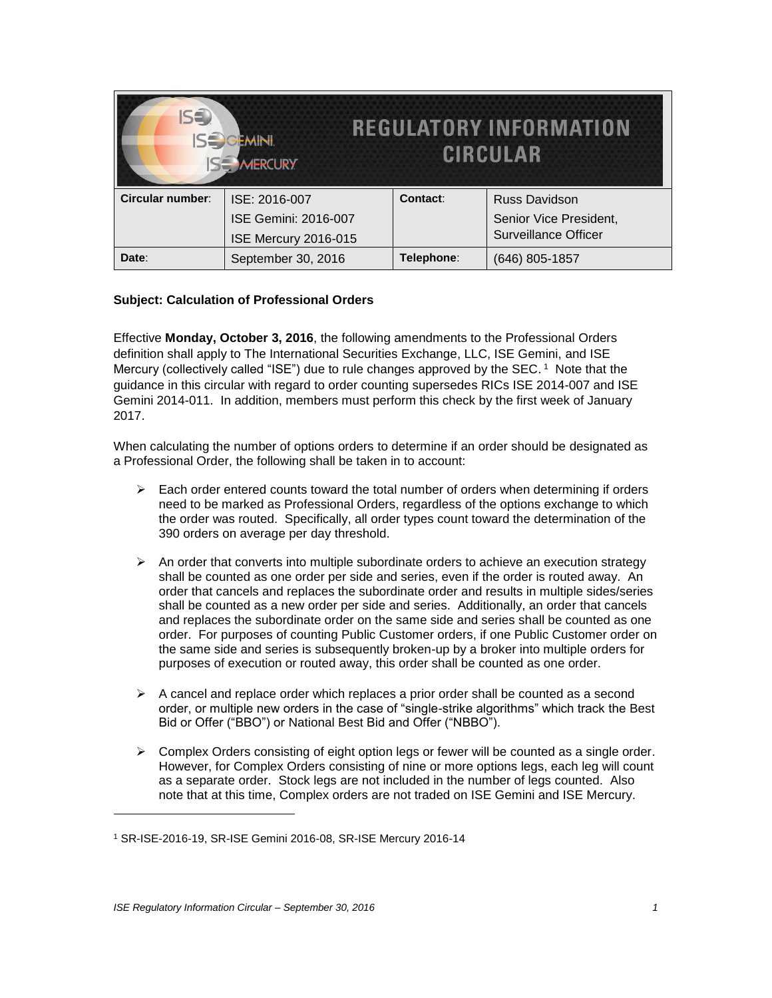| IS <sup>3</sup><br><b>REGULATORY INFORMATION</b><br><b>JEMINI</b><br><b>CIRCULAR</b><br><b>ISE MERCURY</b> |                             |            |                             |
|------------------------------------------------------------------------------------------------------------|-----------------------------|------------|-----------------------------|
| Circular number:                                                                                           | ISE: 2016-007               | Contact:   | <b>Russ Davidson</b>        |
|                                                                                                            | <b>ISE Gemini: 2016-007</b> |            | Senior Vice President,      |
|                                                                                                            | ISE Mercury 2016-015        |            | <b>Surveillance Officer</b> |
| Date:                                                                                                      | September 30, 2016          | Telephone: | (646) 805-1857              |

## **Subject: Calculation of Professional Orders**

Effective **Monday, October 3, 2016**, the following amendments to the Professional Orders definition shall apply to The International Securities Exchange, LLC, ISE Gemini, and ISE Mercury (collectively called "ISE") due to rule changes approved by the SEC. <sup>1</sup> Note that the guidance in this circular with regard to order counting supersedes RICs ISE 2014-007 and ISE Gemini 2014-011. In addition, members must perform this check by the first week of January 2017.

When calculating the number of options orders to determine if an order should be designated as a Professional Order, the following shall be taken in to account:

- $\triangleright$  Each order entered counts toward the total number of orders when determining if orders need to be marked as Professional Orders, regardless of the options exchange to which the order was routed. Specifically, all order types count toward the determination of the 390 orders on average per day threshold.
- $\triangleright$  An order that converts into multiple subordinate orders to achieve an execution strategy shall be counted as one order per side and series, even if the order is routed away. An order that cancels and replaces the subordinate order and results in multiple sides/series shall be counted as a new order per side and series. Additionally, an order that cancels and replaces the subordinate order on the same side and series shall be counted as one order. For purposes of counting Public Customer orders, if one Public Customer order on the same side and series is subsequently broken-up by a broker into multiple orders for purposes of execution or routed away, this order shall be counted as one order.
- $\triangleright$  A cancel and replace order which replaces a prior order shall be counted as a second order, or multiple new orders in the case of "single-strike algorithms" which track the Best Bid or Offer ("BBO") or National Best Bid and Offer ("NBBO").
- $\triangleright$  Complex Orders consisting of eight option legs or fewer will be counted as a single order. However, for Complex Orders consisting of nine or more options legs, each leg will count as a separate order. Stock legs are not included in the number of legs counted. Also note that at this time, Complex orders are not traded on ISE Gemini and ISE Mercury.

 $\overline{\phantom{a}}$ 

<sup>1</sup> SR-ISE-2016-19, SR-ISE Gemini 2016-08, SR-ISE Mercury 2016-14